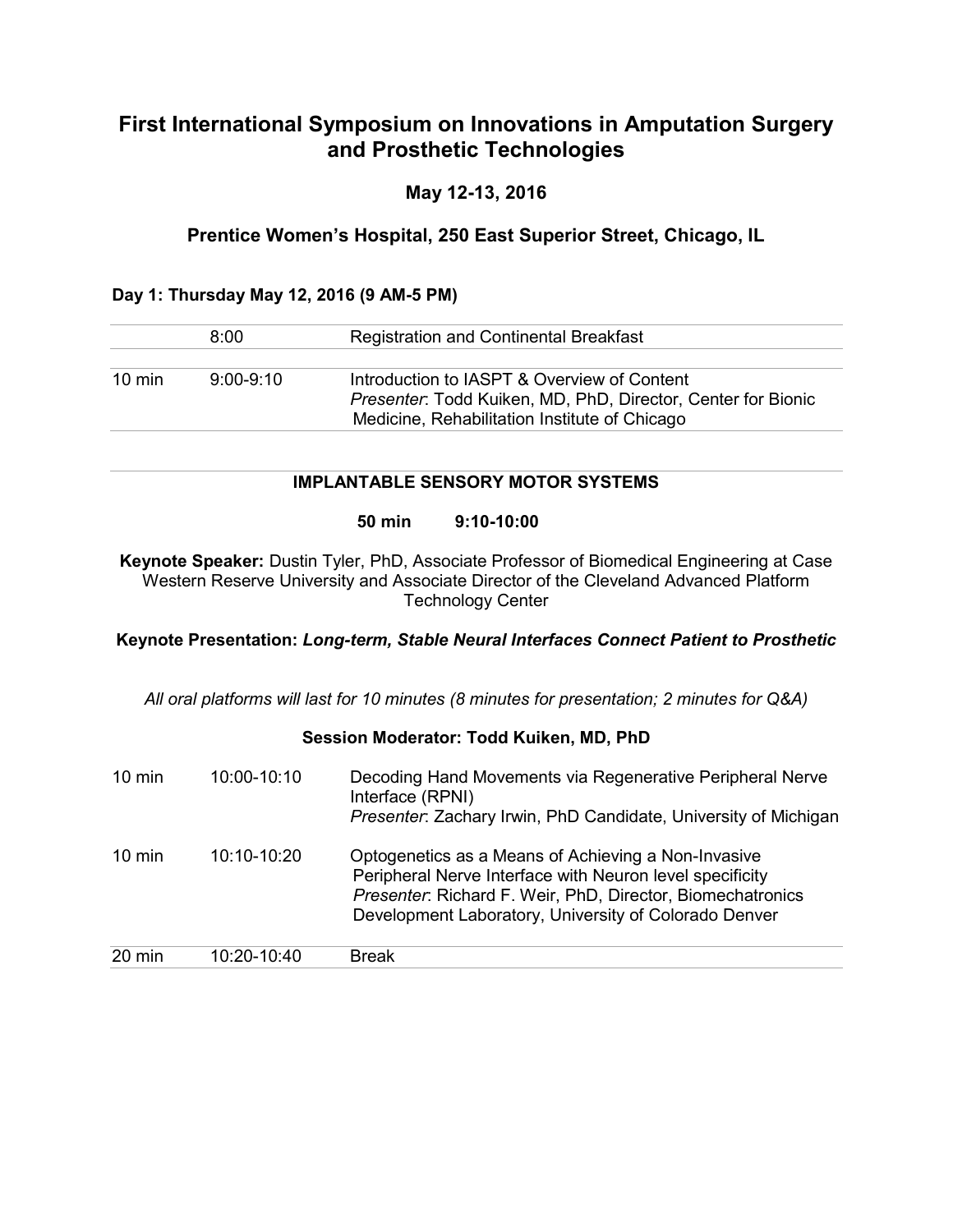## **First International Symposium on Innovations in Amputation Surgery and Prosthetic Technologies**

## **May 12-13, 2016**

## **Prentice Women's Hospital, 250 East Superior Street, Chicago, IL**

### **Day 1: Thursday May 12, 2016 (9 AM-5 PM)**

|                  | 8:00          | <b>Registration and Continental Breakfast</b>                                                                      |
|------------------|---------------|--------------------------------------------------------------------------------------------------------------------|
|                  |               |                                                                                                                    |
| $10 \text{ min}$ | $9:00 - 9:10$ | Introduction to IASPT & Overview of Content<br><i>Presenter:</i> Todd Kuiken, MD, PhD, Director, Center for Bionic |
|                  |               | Medicine, Rehabilitation Institute of Chicago                                                                      |

### **IMPLANTABLE SENSORY MOTOR SYSTEMS**

#### **50 min 9:10-10:00**

**Keynote Speaker:** Dustin Tyler, PhD, Associate Professor of Biomedical Engineering at Case Western Reserve University and Associate Director of the Cleveland Advanced Platform Technology Center

#### **Keynote Presentation:** *Long-term, Stable Neural Interfaces Connect Patient to Prosthetic*

*All oral platforms will last for 10 minutes (8 minutes for presentation; 2 minutes for Q&A)*

#### **Session Moderator: Todd Kuiken, MD, PhD**

| $10 \text{ min}$ | 10:00-10:10 | Decoding Hand Movements via Regenerative Peripheral Nerve<br>Interface (RPNI)<br>Presenter: Zachary Irwin, PhD Candidate, University of Michigan                                                                                       |
|------------------|-------------|----------------------------------------------------------------------------------------------------------------------------------------------------------------------------------------------------------------------------------------|
| $10 \text{ min}$ | 10:10-10:20 | Optogenetics as a Means of Achieving a Non-Invasive<br>Peripheral Nerve Interface with Neuron level specificity<br>Presenter: Richard F. Weir, PhD, Director, Biomechatronics<br>Development Laboratory, University of Colorado Denver |
| 20 min           | 10:20-10:40 | <b>Break</b>                                                                                                                                                                                                                           |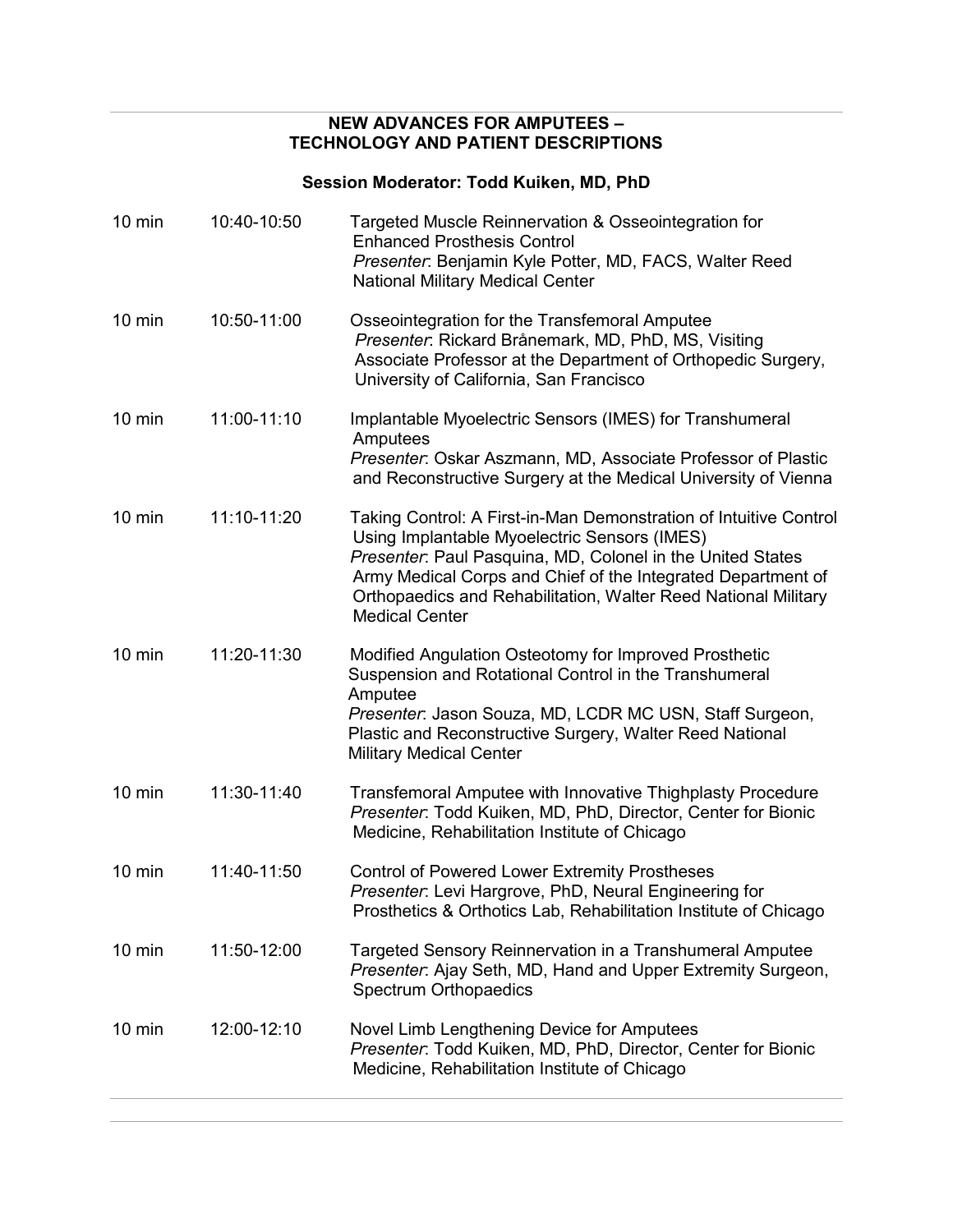### **NEW ADVANCES FOR AMPUTEES – TECHNOLOGY AND PATIENT DESCRIPTIONS**

# **Session Moderator: Todd Kuiken, MD, PhD**

| $10 \text{ min}$ | 12:00-12:10 | Novel Limb Lengthening Device for Amputees<br>Presenter: Todd Kuiken, MD, PhD, Director, Center for Bionic<br>Medicine, Rehabilitation Institute of Chicago                                                                                                                                                                                |
|------------------|-------------|--------------------------------------------------------------------------------------------------------------------------------------------------------------------------------------------------------------------------------------------------------------------------------------------------------------------------------------------|
| $10 \text{ min}$ | 11:50-12:00 | Targeted Sensory Reinnervation in a Transhumeral Amputee<br>Presenter: Ajay Seth, MD, Hand and Upper Extremity Surgeon,<br>Spectrum Orthopaedics                                                                                                                                                                                           |
| $10 \text{ min}$ | 11:40-11:50 | <b>Control of Powered Lower Extremity Prostheses</b><br>Presenter: Levi Hargrove, PhD, Neural Engineering for<br>Prosthetics & Orthotics Lab, Rehabilitation Institute of Chicago                                                                                                                                                          |
| $10 \text{ min}$ | 11:30-11:40 | Transfemoral Amputee with Innovative Thighplasty Procedure<br>Presenter: Todd Kuiken, MD, PhD, Director, Center for Bionic<br>Medicine, Rehabilitation Institute of Chicago                                                                                                                                                                |
| $10 \text{ min}$ | 11:20-11:30 | Modified Angulation Osteotomy for Improved Prosthetic<br>Suspension and Rotational Control in the Transhumeral<br>Amputee<br>Presenter: Jason Souza, MD, LCDR MC USN, Staff Surgeon,<br>Plastic and Reconstructive Surgery, Walter Reed National<br><b>Military Medical Center</b>                                                         |
| $10 \text{ min}$ | 11:10-11:20 | Taking Control: A First-in-Man Demonstration of Intuitive Control<br>Using Implantable Myoelectric Sensors (IMES)<br>Presenter: Paul Pasquina, MD, Colonel in the United States<br>Army Medical Corps and Chief of the Integrated Department of<br>Orthopaedics and Rehabilitation, Walter Reed National Military<br><b>Medical Center</b> |
| $10 \text{ min}$ | 11:00-11:10 | Implantable Myoelectric Sensors (IMES) for Transhumeral<br>Amputees<br>Presenter: Oskar Aszmann, MD, Associate Professor of Plastic<br>and Reconstructive Surgery at the Medical University of Vienna                                                                                                                                      |
| $10$ min         | 10:50-11:00 | Osseointegration for the Transfemoral Amputee<br>Presenter: Rickard Brånemark, MD, PhD, MS, Visiting<br>Associate Professor at the Department of Orthopedic Surgery,<br>University of California, San Francisco                                                                                                                            |
| $10 \text{ min}$ | 10:40-10:50 | Targeted Muscle Reinnervation & Osseointegration for<br><b>Enhanced Prosthesis Control</b><br>Presenter: Benjamin Kyle Potter, MD, FACS, Walter Reed<br><b>National Military Medical Center</b>                                                                                                                                            |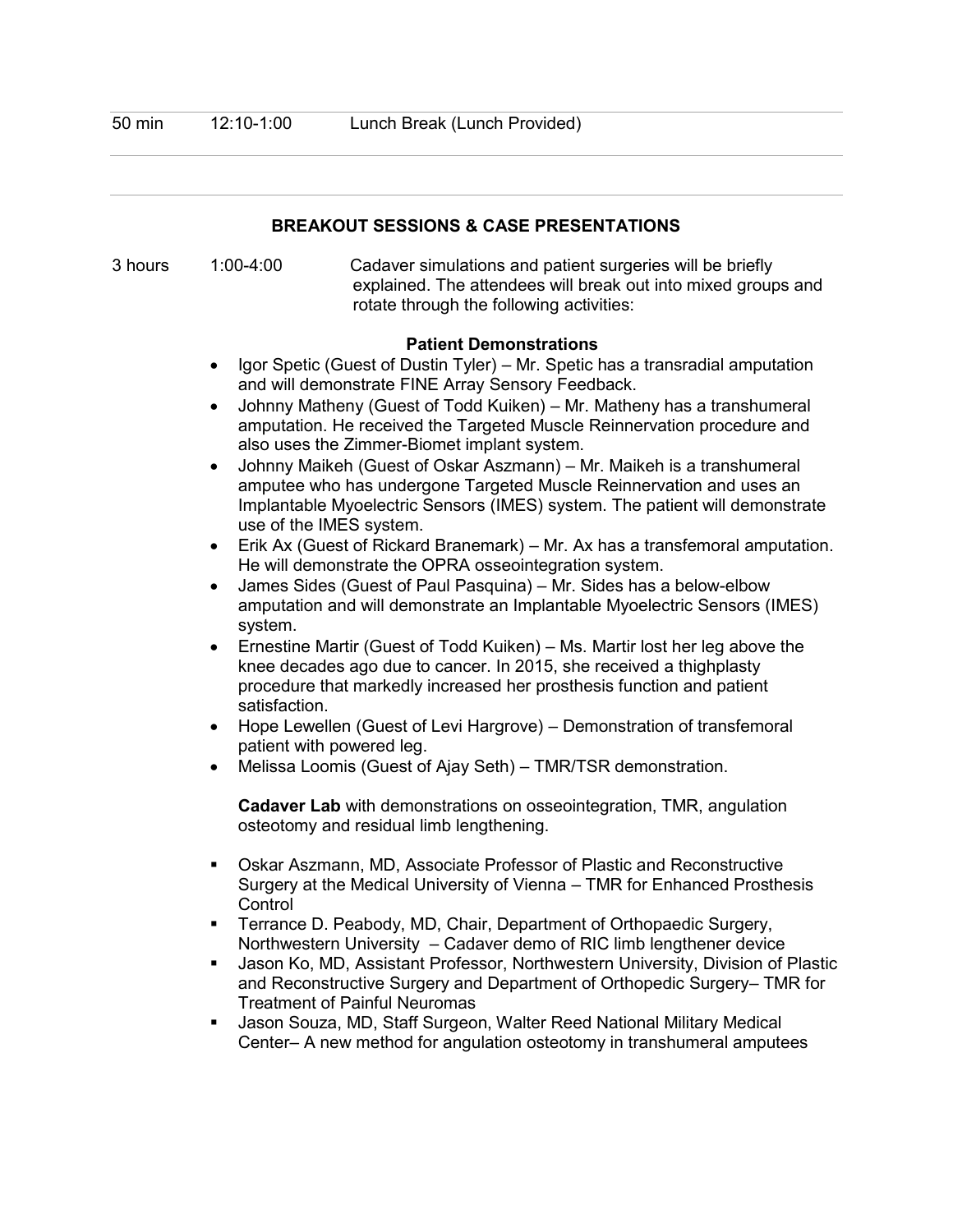| <b>BREAKOUT SESSIONS &amp; CASE PRESENTATIONS</b> |                                                                                                                                                                                                                                                                                                                                                                                                                                                                                                                                                                                                                                                                                                                                                                                                                                                                                                                                                                                                                                                                                                                                                                                                                                                                                              |                                                                                                                                                                                                                                                                                                                                                                                                                                                                                                                                                                                                                                                                                                                                                                                                                                              |  |  |
|---------------------------------------------------|----------------------------------------------------------------------------------------------------------------------------------------------------------------------------------------------------------------------------------------------------------------------------------------------------------------------------------------------------------------------------------------------------------------------------------------------------------------------------------------------------------------------------------------------------------------------------------------------------------------------------------------------------------------------------------------------------------------------------------------------------------------------------------------------------------------------------------------------------------------------------------------------------------------------------------------------------------------------------------------------------------------------------------------------------------------------------------------------------------------------------------------------------------------------------------------------------------------------------------------------------------------------------------------------|----------------------------------------------------------------------------------------------------------------------------------------------------------------------------------------------------------------------------------------------------------------------------------------------------------------------------------------------------------------------------------------------------------------------------------------------------------------------------------------------------------------------------------------------------------------------------------------------------------------------------------------------------------------------------------------------------------------------------------------------------------------------------------------------------------------------------------------------|--|--|
| 3 hours                                           | $1:00 - 4:00$                                                                                                                                                                                                                                                                                                                                                                                                                                                                                                                                                                                                                                                                                                                                                                                                                                                                                                                                                                                                                                                                                                                                                                                                                                                                                | Cadaver simulations and patient surgeries will be briefly<br>explained. The attendees will break out into mixed groups and<br>rotate through the following activities:                                                                                                                                                                                                                                                                                                                                                                                                                                                                                                                                                                                                                                                                       |  |  |
|                                                   | <b>Patient Demonstrations</b><br>Igor Spetic (Guest of Dustin Tyler) - Mr. Spetic has a transradial amputation<br>and will demonstrate FINE Array Sensory Feedback.<br>Johnny Matheny (Guest of Todd Kuiken) - Mr. Matheny has a transhumeral<br>amputation. He received the Targeted Muscle Reinnervation procedure and<br>also uses the Zimmer-Biomet implant system.<br>Johnny Maikeh (Guest of Oskar Aszmann) - Mr. Maikeh is a transhumeral<br>amputee who has undergone Targeted Muscle Reinnervation and uses an<br>Implantable Myoelectric Sensors (IMES) system. The patient will demonstrate<br>use of the IMES system.<br>Erik Ax (Guest of Rickard Branemark) – Mr. Ax has a transfemoral amputation.<br>He will demonstrate the OPRA osseointegration system.<br>James Sides (Guest of Paul Pasquina) - Mr. Sides has a below-elbow<br>$\bullet$<br>amputation and will demonstrate an Implantable Myoelectric Sensors (IMES)<br>system.<br>Ernestine Martir (Guest of Todd Kuiken) – Ms. Martir lost her leg above the<br>$\bullet$<br>knee decades ago due to cancer. In 2015, she received a thighplasty<br>procedure that markedly increased her prosthesis function and patient<br>satisfaction.<br>Hope Lewellen (Guest of Levi Hargrove) - Demonstration of transfemoral |                                                                                                                                                                                                                                                                                                                                                                                                                                                                                                                                                                                                                                                                                                                                                                                                                                              |  |  |
|                                                   | $\bullet$<br>Control<br>٠                                                                                                                                                                                                                                                                                                                                                                                                                                                                                                                                                                                                                                                                                                                                                                                                                                                                                                                                                                                                                                                                                                                                                                                                                                                                    | Melissa Loomis (Guest of Ajay Seth) - TMR/TSR demonstration.<br>Cadaver Lab with demonstrations on osseointegration, TMR, angulation<br>osteotomy and residual limb lengthening.<br>Oskar Aszmann, MD, Associate Professor of Plastic and Reconstructive<br>Surgery at the Medical University of Vienna - TMR for Enhanced Prosthesis<br>Terrance D. Peabody, MD, Chair, Department of Orthopaedic Surgery,<br>Northwestern University - Cadaver demo of RIC limb lengthener device<br>Jason Ko, MD, Assistant Professor, Northwestern University, Division of Plastic<br>and Reconstructive Surgery and Department of Orthopedic Surgery-TMR for<br><b>Treatment of Painful Neuromas</b><br>Jason Souza, MD, Staff Surgeon, Walter Reed National Military Medical<br>Center- A new method for angulation osteotomy in transhumeral amputees |  |  |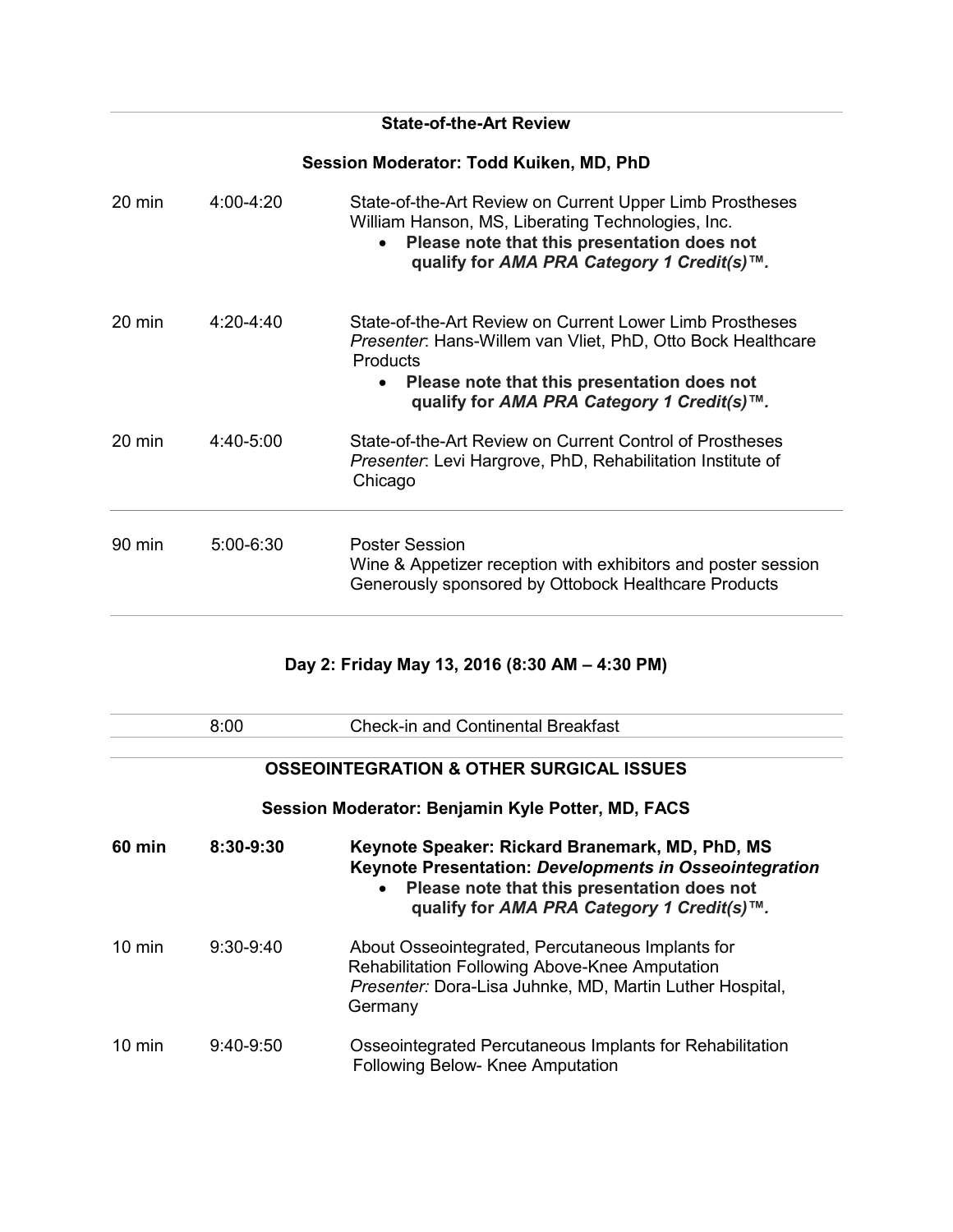## **State-of-the-Art Review**

## **Session Moderator: Todd Kuiken, MD, PhD**

| $20 \text{ min}$ | $4:00-4:20$   | State-of-the-Art Review on Current Upper Limb Prostheses<br>William Hanson, MS, Liberating Technologies, Inc.<br>Please note that this presentation does not<br>$\bullet$<br>qualify for AMA PRA Category 1 Credit(s)™.                                      |
|------------------|---------------|--------------------------------------------------------------------------------------------------------------------------------------------------------------------------------------------------------------------------------------------------------------|
| $20 \text{ min}$ | $4.20 - 4.40$ | State-of-the-Art Review on Current Lower Limb Prostheses<br><i>Presenter</i> : Hans-Willem van Vliet, PhD, Otto Bock Healthcare<br><b>Products</b><br>Please note that this presentation does not<br>$\bullet$<br>qualify for AMA PRA Category 1 Credit(s)™. |
| $20$ min         | $4:40-5:00$   | State-of-the-Art Review on Current Control of Prostheses<br>Presenter: Levi Hargrove, PhD, Rehabilitation Institute of<br>Chicago                                                                                                                            |
| 90 min           | $5:00 - 6:30$ | <b>Poster Session</b><br>Wine & Appetizer reception with exhibitors and poster session<br>Generously sponsored by Ottobock Healthcare Products                                                                                                               |

# **Day 2: Friday May 13, 2016 (8:30 AM – 4:30 PM)**

|                  | 8:00          | <b>Check-in and Continental Breakfast</b>                                                                                                                                                                           |
|------------------|---------------|---------------------------------------------------------------------------------------------------------------------------------------------------------------------------------------------------------------------|
|                  |               |                                                                                                                                                                                                                     |
|                  |               | <b>OSSEOINTEGRATION &amp; OTHER SURGICAL ISSUES</b>                                                                                                                                                                 |
|                  |               | Session Moderator: Benjamin Kyle Potter, MD, FACS                                                                                                                                                                   |
| 60 min           | $8:30 - 9:30$ | Keynote Speaker: Rickard Branemark, MD, PhD, MS<br>Keynote Presentation: Developments in Osseointegration<br>Please note that this presentation does not<br>$\bullet$<br>qualify for AMA PRA Category 1 Credit(s)™. |
| $10 \text{ min}$ | $9:30-9:40$   | About Osseointegrated, Percutaneous Implants for<br>Rehabilitation Following Above-Knee Amputation<br>Presenter: Dora-Lisa Juhnke, MD, Martin Luther Hospital,<br>Germany                                           |
| $10 \text{ min}$ | $9:40-9:50$   | Osseointegrated Percutaneous Implants for Rehabilitation<br>Following Below- Knee Amputation                                                                                                                        |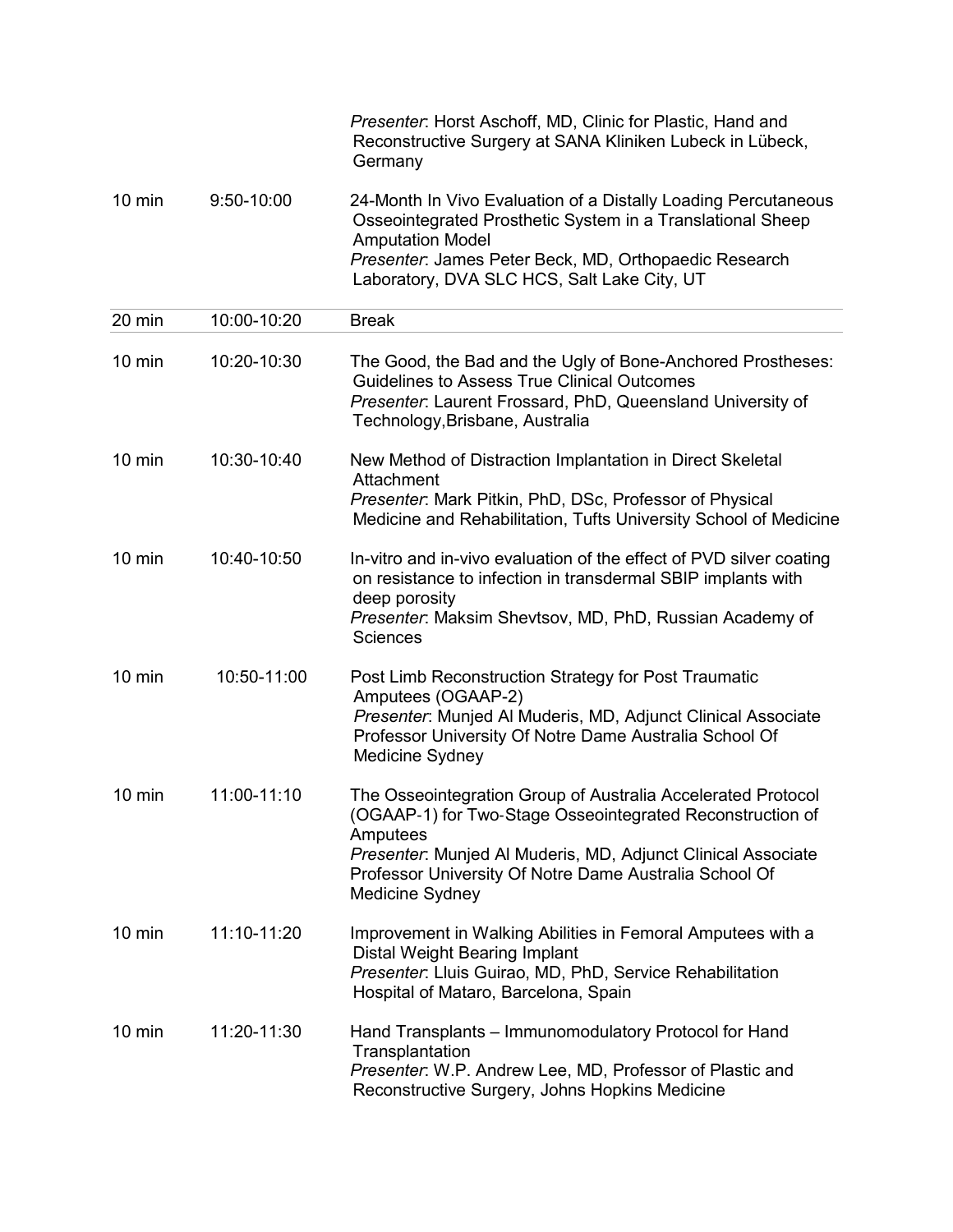|                  |              | Presenter: Horst Aschoff, MD, Clinic for Plastic, Hand and<br>Reconstructive Surgery at SANA Kliniken Lubeck in Lübeck,<br>Germany                                                                                                                                                        |
|------------------|--------------|-------------------------------------------------------------------------------------------------------------------------------------------------------------------------------------------------------------------------------------------------------------------------------------------|
| $10 \text{ min}$ | $9:50-10:00$ | 24-Month In Vivo Evaluation of a Distally Loading Percutaneous<br>Osseointegrated Prosthetic System in a Translational Sheep<br><b>Amputation Model</b><br>Presenter: James Peter Beck, MD, Orthopaedic Research                                                                          |
|                  |              | Laboratory, DVA SLC HCS, Salt Lake City, UT                                                                                                                                                                                                                                               |
| 20 min           | 10:00-10:20  | <b>Break</b>                                                                                                                                                                                                                                                                              |
| $10 \text{ min}$ | 10:20-10:30  | The Good, the Bad and the Ugly of Bone-Anchored Prostheses:<br><b>Guidelines to Assess True Clinical Outcomes</b><br>Presenter: Laurent Frossard, PhD, Queensland University of<br>Technology, Brisbane, Australia                                                                        |
| $10 \text{ min}$ | 10:30-10:40  | New Method of Distraction Implantation in Direct Skeletal<br>Attachment                                                                                                                                                                                                                   |
|                  |              | Presenter: Mark Pitkin, PhD, DSc, Professor of Physical<br>Medicine and Rehabilitation, Tufts University School of Medicine                                                                                                                                                               |
| $10 \text{ min}$ | 10:40-10:50  | In-vitro and in-vivo evaluation of the effect of PVD silver coating<br>on resistance to infection in transdermal SBIP implants with<br>deep porosity<br>Presenter: Maksim Shevtsov, MD, PhD, Russian Academy of<br><b>Sciences</b>                                                        |
| $10$ min         | 10:50-11:00  | Post Limb Reconstruction Strategy for Post Traumatic<br>Amputees (OGAAP-2)<br>Presenter: Munjed Al Muderis, MD, Adjunct Clinical Associate<br>Professor University Of Notre Dame Australia School Of<br>Medicine Sydney                                                                   |
| $10 \text{ min}$ | 11:00-11:10  | The Osseointegration Group of Australia Accelerated Protocol<br>(OGAAP-1) for Two-Stage Osseointegrated Reconstruction of<br>Amputees<br>Presenter: Munjed Al Muderis, MD, Adjunct Clinical Associate<br>Professor University Of Notre Dame Australia School Of<br><b>Medicine Sydney</b> |
| $10 \text{ min}$ | 11:10-11:20  | Improvement in Walking Abilities in Femoral Amputees with a<br>Distal Weight Bearing Implant<br>Presenter: Lluis Guirao, MD, PhD, Service Rehabilitation<br>Hospital of Mataro, Barcelona, Spain                                                                                          |
| $10 \text{ min}$ | 11:20-11:30  | Hand Transplants - Immunomodulatory Protocol for Hand<br>Transplantation<br>Presenter: W.P. Andrew Lee, MD, Professor of Plastic and<br>Reconstructive Surgery, Johns Hopkins Medicine                                                                                                    |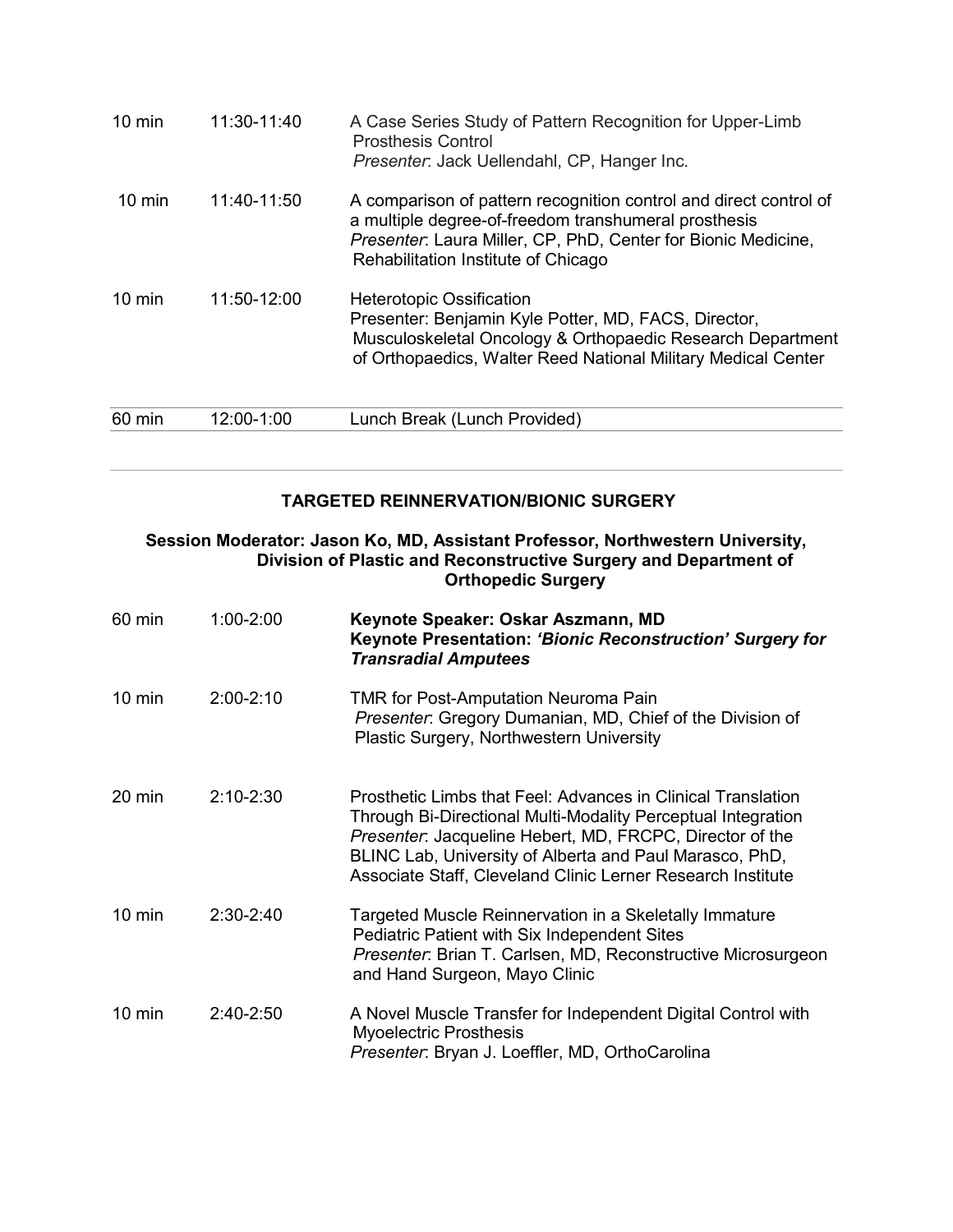| $10 \text{ min}$ | 11:30-11:40   | A Case Series Study of Pattern Recognition for Upper-Limb<br><b>Prosthesis Control</b><br>Presenter: Jack Uellendahl, CP, Hanger Inc.                                                                                             |
|------------------|---------------|-----------------------------------------------------------------------------------------------------------------------------------------------------------------------------------------------------------------------------------|
| $10 \text{ min}$ | $11:40-11:50$ | A comparison of pattern recognition control and direct control of<br>a multiple degree-of-freedom transhumeral prosthesis<br>Presenter: Laura Miller, CP, PhD, Center for Bionic Medicine,<br>Rehabilitation Institute of Chicago |
| $10 \text{ min}$ | 11:50-12:00   | <b>Heterotopic Ossification</b><br>Presenter: Benjamin Kyle Potter, MD, FACS, Director,<br>Musculoskeletal Oncology & Orthopaedic Research Department<br>of Orthopaedics, Walter Reed National Military Medical Center            |
| 60 min           | 12:00-1:00    | Lunch Break (Lunch Provided)                                                                                                                                                                                                      |

#### **TARGETED REINNERVATION/BIONIC SURGERY**

#### **Session Moderator: Jason Ko, MD, Assistant Professor, Northwestern University, Division of Plastic and Reconstructive Surgery and Department of Orthopedic Surgery**

| 60 min           | $1:00 - 2:00$ | Keynote Speaker: Oskar Aszmann, MD<br>Keynote Presentation: 'Bionic Reconstruction' Surgery for<br><b>Transradial Amputees</b>                                                                                                                                                                                     |
|------------------|---------------|--------------------------------------------------------------------------------------------------------------------------------------------------------------------------------------------------------------------------------------------------------------------------------------------------------------------|
| $10 \text{ min}$ | $2:00 - 2:10$ | <b>TMR for Post-Amputation Neuroma Pain</b><br>Presenter: Gregory Dumanian, MD, Chief of the Division of<br>Plastic Surgery, Northwestern University                                                                                                                                                               |
| 20 min           | $2:10 - 2:30$ | Prosthetic Limbs that Feel: Advances in Clinical Translation<br>Through Bi-Directional Multi-Modality Perceptual Integration<br>Presenter: Jacqueline Hebert, MD, FRCPC, Director of the<br>BLINC Lab, University of Alberta and Paul Marasco, PhD,<br>Associate Staff, Cleveland Clinic Lerner Research Institute |
| $10 \text{ min}$ | $2:30-2:40$   | Targeted Muscle Reinnervation in a Skeletally Immature<br>Pediatric Patient with Six Independent Sites<br>Presenter: Brian T. Carlsen, MD, Reconstructive Microsurgeon<br>and Hand Surgeon, Mayo Clinic                                                                                                            |
| $10 \text{ min}$ | $2:40-2:50$   | A Novel Muscle Transfer for Independent Digital Control with<br><b>Myoelectric Prosthesis</b><br>Presenter: Bryan J. Loeffler, MD, OrthoCarolina                                                                                                                                                                   |